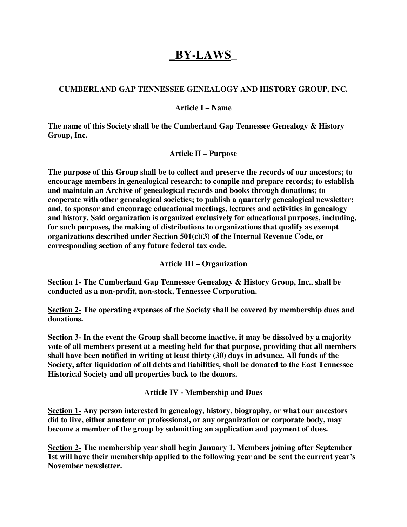# **\_BY-LAWS\_**

## **CUMBERLAND GAP TENNESSEE GENEALOGY AND HISTORY GROUP, INC.**

#### **Article I – Name**

**The name of this Society shall be the Cumberland Gap Tennessee Genealogy & History Group, Inc.** 

**Article II – Purpose** 

**The purpose of this Group shall be to collect and preserve the records of our ancestors; to encourage members in genealogical research; to compile and prepare records; to establish and maintain an Archive of genealogical records and books through donations; to cooperate with other genealogical societies; to publish a quarterly genealogical newsletter; and, to sponsor and encourage educational meetings, lectures and activities in genealogy and history. Said organization is organized exclusively for educational purposes, including, for such purposes, the making of distributions to organizations that qualify as exempt organizations described under Section 501(c)(3) of the Internal Revenue Code, or corresponding section of any future federal tax code.** 

#### **Article III – Organization**

**Section 1- The Cumberland Gap Tennessee Genealogy & History Group, Inc., shall be conducted as a non-profit, non-stock, Tennessee Corporation.** 

**Section 2- The operating expenses of the Society shall be covered by membership dues and donations.** 

**Section 3- In the event the Group shall become inactive, it may be dissolved by a majority vote of all members present at a meeting held for that purpose, providing that all members shall have been notified in writing at least thirty (30) days in advance. All funds of the Society, after liquidation of all debts and liabilities, shall be donated to the East Tennessee Historical Society and all properties back to the donors.** 

**Article IV - Membership and Dues** 

**Section 1- Any person interested in genealogy, history, biography, or what our ancestors did to live, either amateur or professional, or any organization or corporate body, may become a member of the group by submitting an application and payment of dues.** 

**Section 2- The membership year shall begin January 1. Members joining after September 1st will have their membership applied to the following year and be sent the current year's November newsletter.**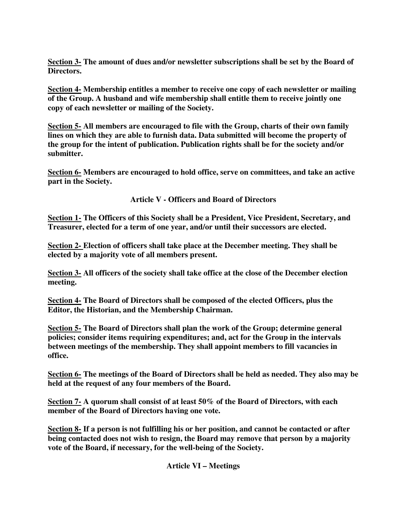**Section 3- The amount of dues and/or newsletter subscriptions shall be set by the Board of Directors.** 

**Section 4- Membership entitles a member to receive one copy of each newsletter or mailing of the Group. A husband and wife membership shall entitle them to receive jointly one copy of each newsletter or mailing of the Society.** 

**Section 5- All members are encouraged to file with the Group, charts of their own family lines on which they are able to furnish data. Data submitted will become the property of the group for the intent of publication. Publication rights shall be for the society and/or submitter.** 

**Section 6- Members are encouraged to hold office, serve on committees, and take an active part in the Society.** 

**Article V - Officers and Board of Directors** 

**Section 1- The Officers of this Society shall be a President, Vice President, Secretary, and Treasurer, elected for a term of one year, and/or until their successors are elected.** 

**Section 2- Election of officers shall take place at the December meeting. They shall be elected by a majority vote of all members present.** 

**Section 3- All officers of the society shall take office at the close of the December election meeting.** 

**Section 4- The Board of Directors shall be composed of the elected Officers, plus the Editor, the Historian, and the Membership Chairman.** 

**Section 5- The Board of Directors shall plan the work of the Group; determine general policies; consider items requiring expenditures; and, act for the Group in the intervals between meetings of the membership. They shall appoint members to fill vacancies in office.** 

**Section 6- The meetings of the Board of Directors shall be held as needed. They also may be held at the request of any four members of the Board.** 

**Section 7- A quorum shall consist of at least 50% of the Board of Directors, with each member of the Board of Directors having one vote.** 

**Section 8- If a person is not fulfilling his or her position, and cannot be contacted or after being contacted does not wish to resign, the Board may remove that person by a majority vote of the Board, if necessary, for the well-being of the Society.** 

**Article VI – Meetings**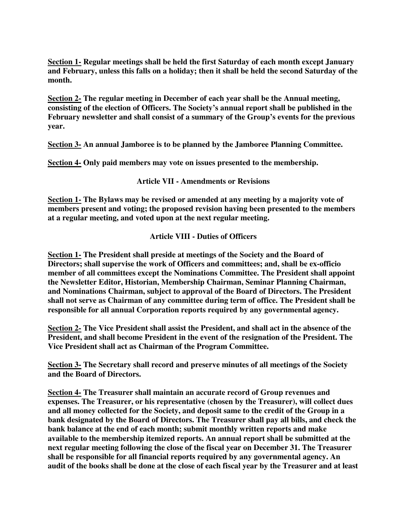**Section 1- Regular meetings shall be held the first Saturday of each month except January and February, unless this falls on a holiday; then it shall be held the second Saturday of the month.** 

**Section 2- The regular meeting in December of each year shall be the Annual meeting, consisting of the election of Officers. The Society's annual report shall be published in the February newsletter and shall consist of a summary of the Group's events for the previous year.** 

**Section 3- An annual Jamboree is to be planned by the Jamboree Planning Committee.** 

**Section 4- Only paid members may vote on issues presented to the membership.** 

**Article VII - Amendments or Revisions** 

**Section 1- The Bylaws may be revised or amended at any meeting by a majority vote of members present and voting; the proposed revision having been presented to the members at a regular meeting, and voted upon at the next regular meeting.** 

**Article VIII - Duties of Officers** 

**Section 1- The President shall preside at meetings of the Society and the Board of Directors; shall supervise the work of Officers and committees; and, shall be ex-officio member of all committees except the Nominations Committee. The President shall appoint the Newsletter Editor, Historian, Membership Chairman, Seminar Planning Chairman, and Nominations Chairman, subject to approval of the Board of Directors. The President shall not serve as Chairman of any committee during term of office. The President shall be responsible for all annual Corporation reports required by any governmental agency.** 

**Section 2- The Vice President shall assist the President, and shall act in the absence of the President, and shall become President in the event of the resignation of the President. The Vice President shall act as Chairman of the Program Committee.** 

**Section 3- The Secretary shall record and preserve minutes of all meetings of the Society and the Board of Directors.** 

**Section 4- The Treasurer shall maintain an accurate record of Group revenues and expenses. The Treasurer, or his representative (chosen by the Treasurer), will collect dues and all money collected for the Society, and deposit same to the credit of the Group in a bank designated by the Board of Directors. The Treasurer shall pay all bills, and check the bank balance at the end of each month; submit monthly written reports and make available to the membership itemized reports. An annual report shall be submitted at the next regular meeting following the close of the fiscal year on December 31. The Treasurer shall be responsible for all financial reports required by any governmental agency. An audit of the books shall be done at the close of each fiscal year by the Treasurer and at least**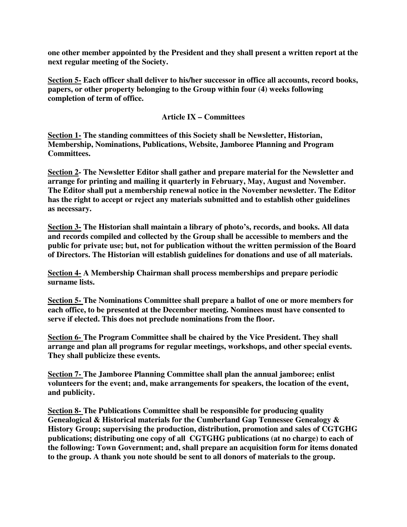**one other member appointed by the President and they shall present a written report at the next regular meeting of the Society.** 

**Section 5- Each officer shall deliver to his/her successor in office all accounts, record books, papers, or other property belonging to the Group within four (4) weeks following completion of term of office.** 

#### **Article IX – Committees**

**Section 1- The standing committees of this Society shall be Newsletter, Historian, Membership, Nominations, Publications, Website, Jamboree Planning and Program Committees.** 

**Section 2- The Newsletter Editor shall gather and prepare material for the Newsletter and arrange for printing and mailing it quarterly in February, May, August and November. The Editor shall put a membership renewal notice in the November newsletter. The Editor has the right to accept or reject any materials submitted and to establish other guidelines as necessary.** 

**Section 3- The Historian shall maintain a library of photo's, records, and books. All data and records compiled and collected by the Group shall be accessible to members and the public for private use; but, not for publication without the written permission of the Board of Directors. The Historian will establish guidelines for donations and use of all materials.** 

**Section 4- A Membership Chairman shall process memberships and prepare periodic surname lists.** 

**Section 5- The Nominations Committee shall prepare a ballot of one or more members for each office, to be presented at the December meeting. Nominees must have consented to serve if elected. This does not preclude nominations from the floor.** 

**Section 6- The Program Committee shall be chaired by the Vice President. They shall arrange and plan all programs for regular meetings, workshops, and other special events. They shall publicize these events.** 

**Section 7- The Jamboree Planning Committee shall plan the annual jamboree; enlist volunteers for the event; and, make arrangements for speakers, the location of the event, and publicity.** 

**Section 8- The Publications Committee shall be responsible for producing quality Genealogical & Historical materials for the Cumberland Gap Tennessee Genealogy & History Group; supervising the production, distribution, promotion and sales of CGTGHG publications; distributing one copy of all CGTGHG publications (at no charge) to each of the following: Town Government; and, shall prepare an acquisition form for items donated to the group. A thank you note should be sent to all donors of materials to the group.**